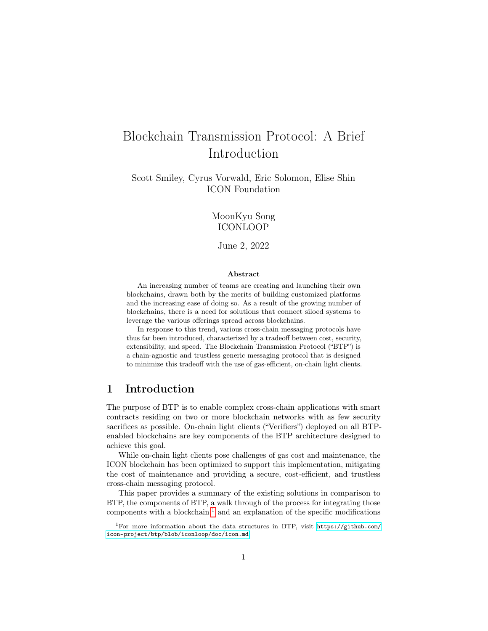# Blockchain Transmission Protocol: A Brief Introduction

Scott Smiley, Cyrus Vorwald, Eric Solomon, Elise Shin ICON Foundation

> MoonKyu Song ICONLOOP

June 2, 2022

#### Abstract

An increasing number of teams are creating and launching their own blockchains, drawn both by the merits of building customized platforms and the increasing ease of doing so. As a result of the growing number of blockchains, there is a need for solutions that connect siloed systems to leverage the various offerings spread across blockchains.

In response to this trend, various cross-chain messaging protocols have thus far been introduced, characterized by a tradeoff between cost, security, extensibility, and speed. The Blockchain Transmission Protocol ("BTP") is a chain-agnostic and trustless generic messaging protocol that is designed to minimize this tradeoff with the use of gas-efficient, on-chain light clients.

# 1 Introduction

The purpose of BTP is to enable complex cross-chain applications with smart contracts residing on two or more blockchain networks with as few security sacrifices as possible. On-chain light clients ("Verifiers") deployed on all BTPenabled blockchains are key components of the BTP architecture designed to achieve this goal.

While on-chain light clients pose challenges of gas cost and maintenance, the ICON blockchain has been optimized to support this implementation, mitigating the cost of maintenance and providing a secure, cost-efficient, and trustless cross-chain messaging protocol.

This paper provides a summary of the existing solutions in comparison to BTP, the components of BTP, a walk through of the process for integrating those components with a blockchain, $<sup>1</sup>$  $<sup>1</sup>$  $<sup>1</sup>$  and an explanation of the specific modifications</sup>

<span id="page-0-0"></span><sup>&</sup>lt;sup>1</sup>For more information about the data structures in BTP, visit [https://github.com/](https://github.com/icon-project/btp/blob/iconloop/doc/icon.md) [icon-project/btp/blob/iconloop/doc/icon.md](https://github.com/icon-project/btp/blob/iconloop/doc/icon.md)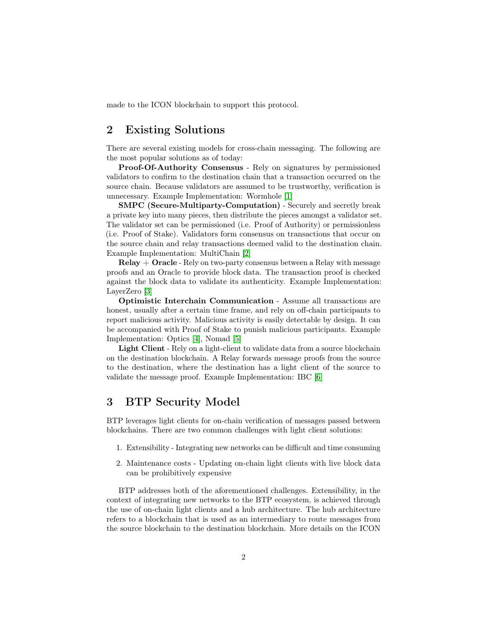made to the ICON blockchain to support this protocol.

# 2 Existing Solutions

There are several existing models for cross-chain messaging. The following are the most popular solutions as of today:

Proof-Of-Authority Consensus - Rely on signatures by permissioned validators to confirm to the destination chain that a transaction occurred on the source chain. Because validators are assumed to be trustworthy, verification is unnecessary. Example Implementation: Wormhole [\[1\]](#page-9-0)

SMPC (Secure-Multiparty-Computation) - Securely and secretly break a private key into many pieces, then distribute the pieces amongst a validator set. The validator set can be permissioned (i.e. Proof of Authority) or permissionless (i.e. Proof of Stake). Validators form consensus on transactions that occur on the source chain and relay transactions deemed valid to the destination chain. Example Implementation: MultiChain [\[2\]](#page-9-1)

 $Relay + Oracle - Rely$  on two-party consensus between a Relay with message proofs and an Oracle to provide block data. The transaction proof is checked against the block data to validate its authenticity. Example Implementation: LayerZero [\[3\]](#page-9-2)

Optimistic Interchain Communication - Assume all transactions are honest, usually after a certain time frame, and rely on off-chain participants to report malicious activity. Malicious activity is easily detectable by design. It can be accompanied with Proof of Stake to punish malicious participants. Example Implementation: Optics [\[4\]](#page-9-3), Nomad [\[5\]](#page-9-4)

Light Client - Rely on a light-client to validate data from a source blockchain on the destination blockchain. A Relay forwards message proofs from the source to the destination, where the destination has a light client of the source to validate the message proof. Example Implementation: IBC [\[6\]](#page-9-5)

# 3 BTP Security Model

BTP leverages light clients for on-chain verification of messages passed between blockchains. There are two common challenges with light client solutions:

- 1. Extensibility Integrating new networks can be difficult and time consuming
- 2. Maintenance costs Updating on-chain light clients with live block data can be prohibitively expensive

BTP addresses both of the aforementioned challenges. Extensibility, in the context of integrating new networks to the BTP ecosystem, is achieved through the use of on-chain light clients and a hub architecture. The hub architecture refers to a blockchain that is used as an intermediary to route messages from the source blockchain to the destination blockchain. More details on the ICON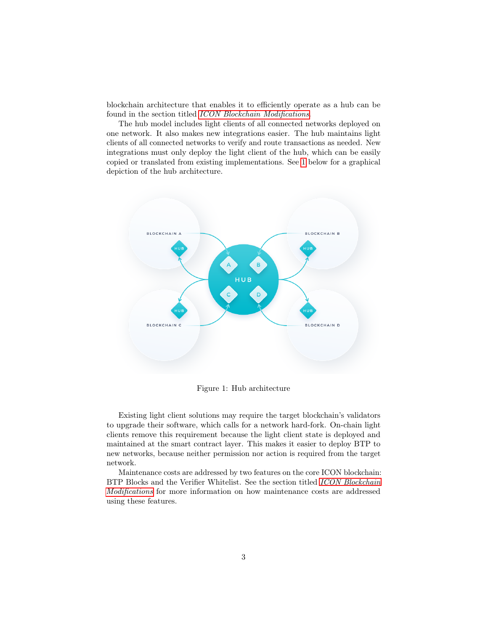blockchain architecture that enables it to efficiently operate as a hub can be found in the section titled [ICON Blockchain Modifications](#page-7-0).

The hub model includes light clients of all connected networks deployed on one network. It also makes new integrations easier. The hub maintains light clients of all connected networks to verify and route transactions as needed. New integrations must only deploy the light client of the hub, which can be easily copied or translated from existing implementations. See [1](#page-2-0) below for a graphical depiction of the hub architecture.



<span id="page-2-0"></span>Figure 1: Hub architecture

Existing light client solutions may require the target blockchain's validators to upgrade their software, which calls for a network hard-fork. On-chain light clients remove this requirement because the light client state is deployed and maintained at the smart contract layer. This makes it easier to deploy BTP to new networks, because neither permission nor action is required from the target network.

Maintenance costs are addressed by two features on the core ICON blockchain: BTP Blocks and the Verifier Whitelist. See the section titled [ICON Blockchain](#page-7-0) [Modifications](#page-7-0) for more information on how maintenance costs are addressed using these features.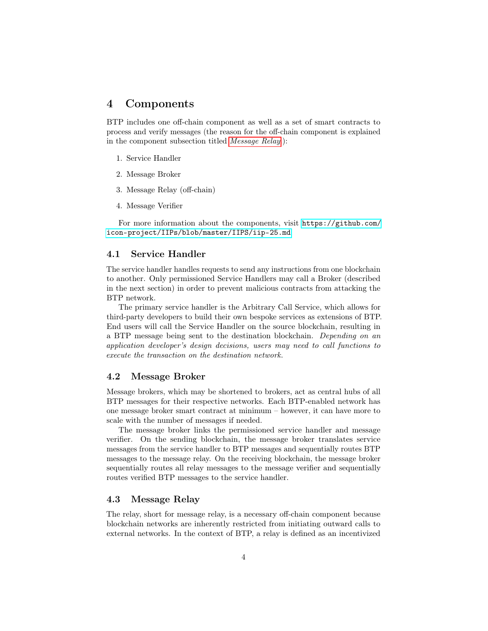### 4 Components

BTP includes one off-chain component as well as a set of smart contracts to process and verify messages (the reason for the off-chain component is explained in the component subsection titled [Message Relay](#page-3-0).):

- 1. Service Handler
- 2. Message Broker
- 3. Message Relay (off-chain)
- 4. Message Verifier

For more information about the components, visit [https://github.com/](https://github.com/icon-project/IIPs/blob/master/IIPS/iip-25.md) [icon-project/IIPs/blob/master/IIPS/iip-25.md](https://github.com/icon-project/IIPs/blob/master/IIPS/iip-25.md)

#### 4.1 Service Handler

The service handler handles requests to send any instructions from one blockchain to another. Only permissioned Service Handlers may call a Broker (described in the next section) in order to prevent malicious contracts from attacking the BTP network.

The primary service handler is the Arbitrary Call Service, which allows for third-party developers to build their own bespoke services as extensions of BTP. End users will call the Service Handler on the source blockchain, resulting in a BTP message being sent to the destination blockchain. Depending on an application developer's design decisions, users may need to call functions to execute the transaction on the destination network.

#### 4.2 Message Broker

Message brokers, which may be shortened to brokers, act as central hubs of all BTP messages for their respective networks. Each BTP-enabled network has one message broker smart contract at minimum – however, it can have more to scale with the number of messages if needed.

The message broker links the permissioned service handler and message verifier. On the sending blockchain, the message broker translates service messages from the service handler to BTP messages and sequentially routes BTP messages to the message relay. On the receiving blockchain, the message broker sequentially routes all relay messages to the message verifier and sequentially routes verified BTP messages to the service handler.

#### <span id="page-3-0"></span>4.3 Message Relay

The relay, short for message relay, is a necessary off-chain component because blockchain networks are inherently restricted from initiating outward calls to external networks. In the context of BTP, a relay is defined as an incentivized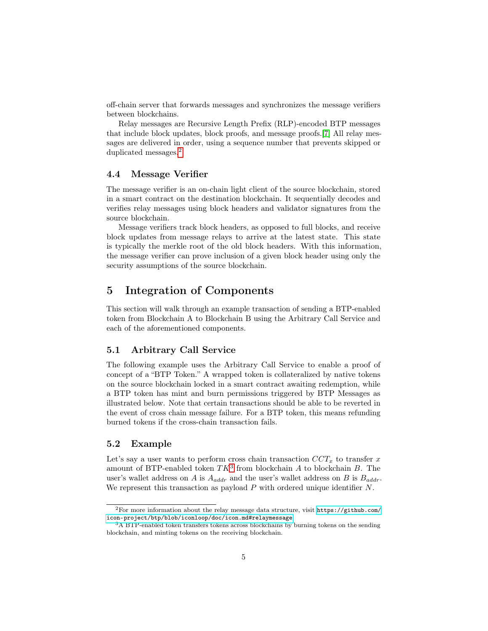off-chain server that forwards messages and synchronizes the message verifiers between blockchains.

Relay messages are Recursive Length Prefix (RLP)-encoded BTP messages that include block updates, block proofs, and message proofs.[\[7\]](#page-10-0) All relay messages are delivered in order, using a sequence number that prevents skipped or duplicated messages.[2](#page-4-0)

#### 4.4 Message Verifier

The message verifier is an on-chain light client of the source blockchain, stored in a smart contract on the destination blockchain. It sequentially decodes and verifies relay messages using block headers and validator signatures from the source blockchain.

Message verifiers track block headers, as opposed to full blocks, and receive block updates from message relays to arrive at the latest state. This state is typically the merkle root of the old block headers. With this information, the message verifier can prove inclusion of a given block header using only the security assumptions of the source blockchain.

## 5 Integration of Components

This section will walk through an example transaction of sending a BTP-enabled token from Blockchain A to Blockchain B using the Arbitrary Call Service and each of the aforementioned components.

### 5.1 Arbitrary Call Service

The following example uses the Arbitrary Call Service to enable a proof of concept of a "BTP Token." A wrapped token is collateralized by native tokens on the source blockchain locked in a smart contract awaiting redemption, while a BTP token has mint and burn permissions triggered by BTP Messages as illustrated below. Note that certain transactions should be able to be reverted in the event of cross chain message failure. For a BTP token, this means refunding burned tokens if the cross-chain transaction fails.

### 5.2 Example

Let's say a user wants to perform cross chain transaction  $CCT_x$  to transfer x amount of BTP-enabled token  $TK^3$  $TK^3$  from blockchain A to blockchain B. The user's wallet address on A is  $A_{addr}$  and the user's wallet address on B is  $B_{addr}$ . We represent this transaction as payload  $P$  with ordered unique identifier  $N$ .

<span id="page-4-0"></span><sup>2</sup>For more information about the relay message data structure, visit [https://github.com/](https://github.com/icon-project/btp/blob/iconloop/doc/icon.md#relaymessage) [icon-project/btp/blob/iconloop/doc/icon.md#relaymessage](https://github.com/icon-project/btp/blob/iconloop/doc/icon.md#relaymessage)

<span id="page-4-1"></span><sup>&</sup>lt;sup>3</sup>A BTP-enabled token transfers tokens across blockchains by burning tokens on the sending blockchain, and minting tokens on the receiving blockchain.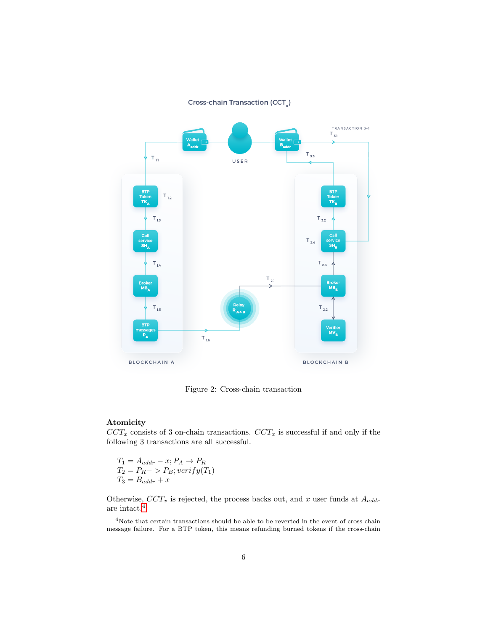Cross-chain Transaction (CCT)



Figure 2: Cross-chain transaction

### Atomicity

 $CCT_x$  consists of 3 on-chain transactions.  $CCT_x$  is successful if and only if the following 3 transactions are all successful.

$$
T_1 = A_{addr} - x; P_A \rightarrow P_R
$$
  
\n
$$
T_2 = P_R \rightarrow P_B; verify(T_1)
$$
  
\n
$$
T_3 = B_{addr} + x
$$

Otherwise,  $CCT_x$  is rejected, the process backs out, and x user funds at  $A_{addr}$ are intact.[4](#page-5-0)

<span id="page-5-0"></span><sup>&</sup>lt;sup>4</sup>Note that certain transactions should be able to be reverted in the event of cross chain message failure. For a BTP token, this means refunding burned tokens if the cross-chain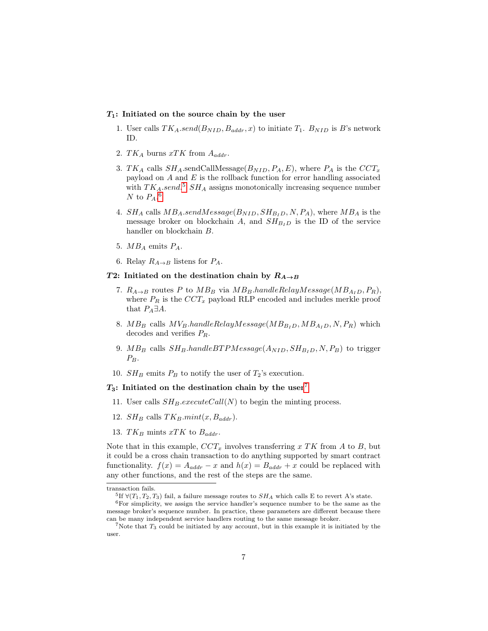#### $T_1$ : Initiated on the source chain by the user

- 1. User calls  $TK_A.send(B_{NID}, B_{addr}, x)$  to initiate  $T_1. B_{NID}$  is B's network ID.
- 2. T $K_A$  burns xTK from  $A_{addr}$ .
- 3. TK<sub>A</sub> calls  $SH_A$  sendCallMessage( $B_{NID}$ ,  $P_A$ , E), where  $P_A$  is the  $CCT_x$ payload on  $A$  and  $E$  is the rollback function for error handling associated with  $TK_A.send.$ <sup>[5](#page-6-0)</sup>  $SH_A$  assigns monotonically increasing sequence number N to  $P_A$ .<sup>[6](#page-6-1)</sup>
- 4.  $SH_A$  calls  $MB_A.sendMessage(B_{NID}, SH_{BID}, N, P_A)$ , where  $MB_A$  is the message broker on blockchain A, and  $SH_{B<sub>I</sub>D}$  is the ID of the service handler on blockchain B.
- 5.  $MB_A$  emits  $P_A$ .
- 6. Relay  $R_{A\rightarrow B}$  listens for  $P_A$ .

#### T2: Initiated on the destination chain by  $R_{A\rightarrow B}$

- 7.  $R_{A\rightarrow B}$  routes P to  $MB_B$  via  $MB_B.hand leRelayMessage(MB_{A}D, P_B)$ , where  $P_R$  is the  $CCT_x$  payload RLP encoded and includes merkle proof that  $P_A \exists A$ .
- 8.  $MB_B$  calls  $MV_B.handleRelayMessage(MB_{BID}, MB_{AID}, N, P_R)$  which decodes and verifies  $P_R$ .
- 9. MB<sub>B</sub> calls  $SH_B.hand le BTPMessage(A_{NID}, SH_{BID}, N, P_B)$  to trigger  $P_B$ .
- 10.  $SH_B$  emits  $P_B$  to notify the user of  $T_2$ 's execution.

#### $T_3$ : Initiated on the destination chain by the user<sup>[7](#page-6-2)</sup>

- 11. User calls  $SH_B.executeCall(N)$  to begin the minting process.
- 12.  $SH_B$  calls  $TK_B.mint(x, B_{addr})$ .
- 13. T $K_B$  mints xTK to  $B_{addr}$ .

Note that in this example,  $CCT_x$  involves transferring x TK from A to B, but it could be a cross chain transaction to do anything supported by smart contract functionality.  $f(x) = A_{addr} - x$  and  $h(x) = B_{addr} + x$  could be replaced with any other functions, and the rest of the steps are the same.

transaction fails.

<span id="page-6-1"></span><span id="page-6-0"></span><sup>&</sup>lt;sup>5</sup>If  $\forall (T_1, T_2, T_3)$  fail, a failure message routes to  $SH_A$  which calls E to revert A's state.

<sup>&</sup>lt;sup>6</sup>For simplicity, we assign the service handler's sequence number to be the same as the message broker's sequence number. In practice, these parameters are different because there can be many independent service handlers routing to the same message broker.

<span id="page-6-2"></span><sup>&</sup>lt;sup>7</sup>Note that  $T_3$  could be initiated by any account, but in this example it is initiated by the user.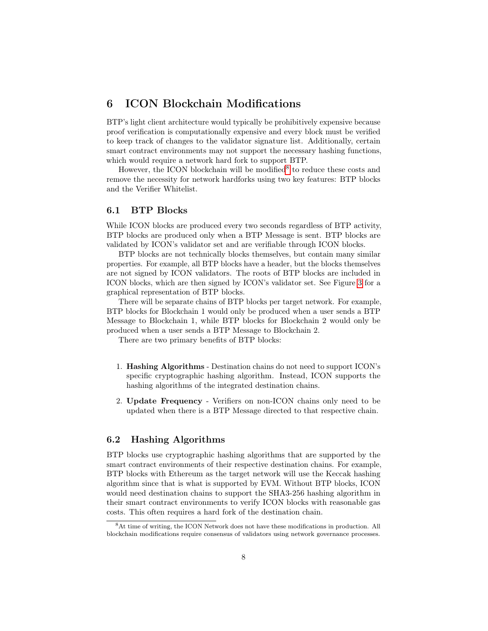# <span id="page-7-0"></span>6 ICON Blockchain Modifications

BTP's light client architecture would typically be prohibitively expensive because proof verification is computationally expensive and every block must be verified to keep track of changes to the validator signature list. Additionally, certain smart contract environments may not support the necessary hashing functions, which would require a network hard fork to support BTP.

However, the ICON blockchain will be modified<sup>[8](#page-7-1)</sup> to reduce these costs and remove the necessity for network hardforks using two key features: BTP blocks and the Verifier Whitelist.

### 6.1 BTP Blocks

While ICON blocks are produced every two seconds regardless of BTP activity, BTP blocks are produced only when a BTP Message is sent. BTP blocks are validated by ICON's validator set and are verifiable through ICON blocks.

BTP blocks are not technically blocks themselves, but contain many similar properties. For example, all BTP blocks have a header, but the blocks themselves are not signed by ICON validators. The roots of BTP blocks are included in ICON blocks, which are then signed by ICON's validator set. See Figure [3](#page-8-0) for a graphical representation of BTP blocks.

There will be separate chains of BTP blocks per target network. For example, BTP blocks for Blockchain 1 would only be produced when a user sends a BTP Message to Blockchain 1, while BTP blocks for Blockchain 2 would only be produced when a user sends a BTP Message to Blockchain 2.

There are two primary benefits of BTP blocks:

- 1. Hashing Algorithms Destination chains do not need to support ICON's specific cryptographic hashing algorithm. Instead, ICON supports the hashing algorithms of the integrated destination chains.
- 2. Update Frequency Verifiers on non-ICON chains only need to be updated when there is a BTP Message directed to that respective chain.

### 6.2 Hashing Algorithms

BTP blocks use cryptographic hashing algorithms that are supported by the smart contract environments of their respective destination chains. For example, BTP blocks with Ethereum as the target network will use the Keccak hashing algorithm since that is what is supported by EVM. Without BTP blocks, ICON would need destination chains to support the SHA3-256 hashing algorithm in their smart contract environments to verify ICON blocks with reasonable gas costs. This often requires a hard fork of the destination chain.

<span id="page-7-1"></span><sup>8</sup>At time of writing, the ICON Network does not have these modifications in production. All blockchain modifications require consensus of validators using network governance processes.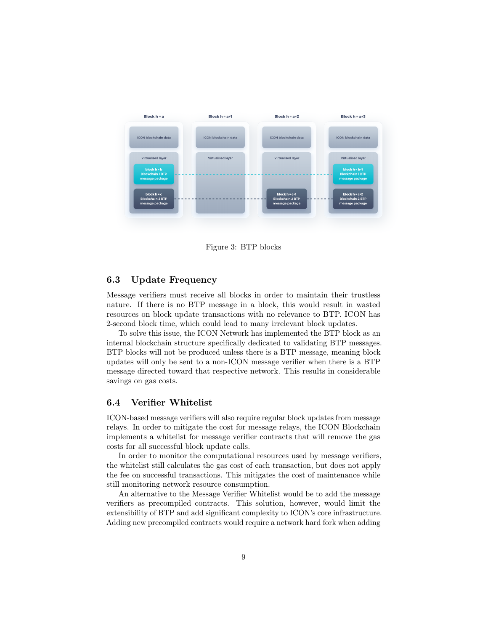

<span id="page-8-0"></span>Figure 3: BTP blocks

### 6.3 Update Frequency

Message verifiers must receive all blocks in order to maintain their trustless nature. If there is no BTP message in a block, this would result in wasted resources on block update transactions with no relevance to BTP. ICON has 2-second block time, which could lead to many irrelevant block updates.

To solve this issue, the ICON Network has implemented the BTP block as an internal blockchain structure specifically dedicated to validating BTP messages. BTP blocks will not be produced unless there is a BTP message, meaning block updates will only be sent to a non-ICON message verifier when there is a BTP message directed toward that respective network. This results in considerable savings on gas costs.

### 6.4 Verifier Whitelist

ICON-based message verifiers will also require regular block updates from message relays. In order to mitigate the cost for message relays, the ICON Blockchain implements a whitelist for message verifier contracts that will remove the gas costs for all successful block update calls.

In order to monitor the computational resources used by message verifiers, the whitelist still calculates the gas cost of each transaction, but does not apply the fee on successful transactions. This mitigates the cost of maintenance while still monitoring network resource consumption.

An alternative to the Message Verifier Whitelist would be to add the message verifiers as precompiled contracts. This solution, however, would limit the extensibility of BTP and add significant complexity to ICON's core infrastructure. Adding new precompiled contracts would require a network hard fork when adding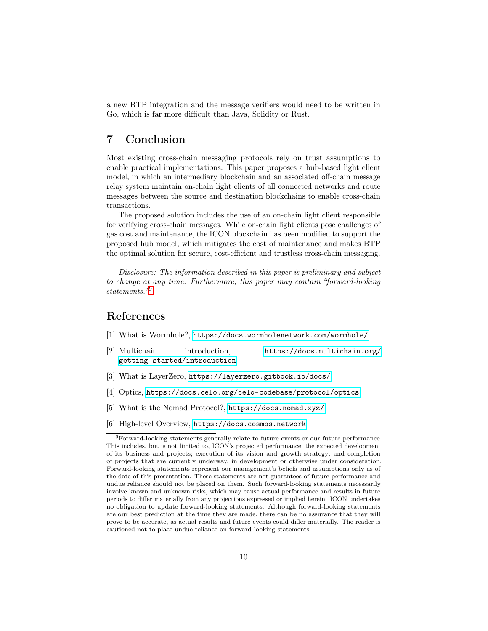a new BTP integration and the message verifiers would need to be written in Go, which is far more difficult than Java, Solidity or Rust.

# 7 Conclusion

Most existing cross-chain messaging protocols rely on trust assumptions to enable practical implementations. This paper proposes a hub-based light client model, in which an intermediary blockchain and an associated off-chain message relay system maintain on-chain light clients of all connected networks and route messages between the source and destination blockchains to enable cross-chain transactions.

The proposed solution includes the use of an on-chain light client responsible for verifying cross-chain messages. While on-chain light clients pose challenges of gas cost and maintenance, the ICON blockchain has been modified to support the proposed hub model, which mitigates the cost of maintenance and makes BTP the optimal solution for secure, cost-efficient and trustless cross-chain messaging.

Disclosure: The information described in this paper is preliminary and subject to change at any time. Furthermore, this paper may contain "forward-looking statements."[9](#page-9-6)

## References

- <span id="page-9-0"></span>[1] What is Wormhole?, <https://docs.wormholenetwork.com/wormhole/>
- <span id="page-9-1"></span>[2] Multichain introduction, [https://docs.multichain.org/](https://docs.multichain.org/getting-started/introduction) [getting-started/introduction](https://docs.multichain.org/getting-started/introduction)

- <span id="page-9-2"></span>[3] What is LayerZero, <https://layerzero.gitbook.io/docs/>
- <span id="page-9-3"></span>[4] Optics, <https://docs.celo.org/celo-codebase/protocol/optics>
- <span id="page-9-4"></span>[5] What is the Nomad Protocol?, <https://docs.nomad.xyz/>
- <span id="page-9-5"></span>[6] High-level Overview, <https://docs.cosmos.network>

<span id="page-9-6"></span> $^9\rm{Forward-looking}$  statements generally relate to future events or our future performance. This includes, but is not limited to, ICON's projected performance; the expected development of its business and projects; execution of its vision and growth strategy; and completion of projects that are currently underway, in development or otherwise under consideration. Forward-looking statements represent our management's beliefs and assumptions only as of the date of this presentation. These statements are not guarantees of future performance and undue reliance should not be placed on them. Such forward-looking statements necessarily involve known and unknown risks, which may cause actual performance and results in future periods to differ materially from any projections expressed or implied herein. ICON undertakes no obligation to update forward-looking statements. Although forward-looking statements are our best prediction at the time they are made, there can be no assurance that they will prove to be accurate, as actual results and future events could differ materially. The reader is cautioned not to place undue reliance on forward-looking statements.